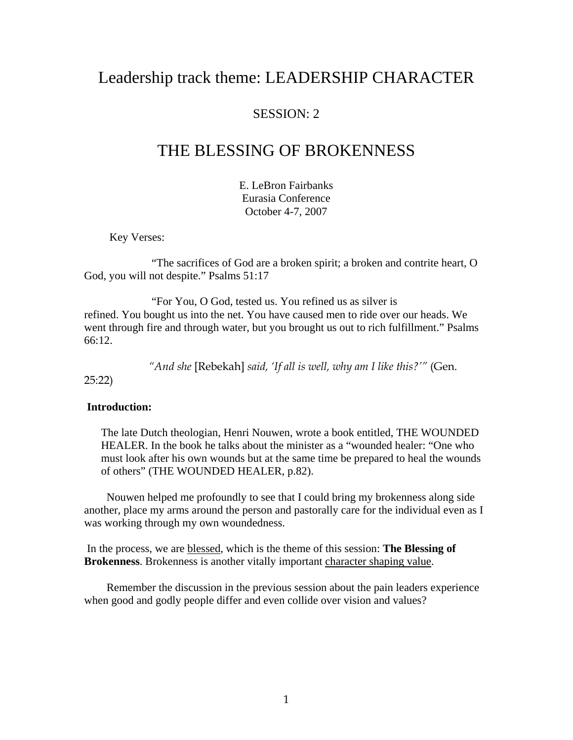# Leadership track theme: LEADERSHIP CHARACTER

## SESSION: 2

## THE BLESSING OF BROKENNESS

E. LeBron Fairbanks Eurasia Conference October 4-7, 2007

Key Verses:

 "The sacrifices of God are a broken spirit; a broken and contrite heart, O God, you will not despite." Psalms 51:17

 "For You, O God, tested us. You refined us as silver is refined. You bought us into the net. You have caused men to ride over our heads. We went through fire and through water, but you brought us out to rich fulfillment." Psalms 66:12.

 *"And she* [Rebekah] *said, 'If all is well, why am I like this?'"* (Gen.

25:22)

### **Introduction:**

The late Dutch theologian, Henri Nouwen, wrote a book entitled, THE WOUNDED HEALER. In the book he talks about the minister as a "wounded healer: "One who must look after his own wounds but at the same time be prepared to heal the wounds of others" (THE WOUNDED HEALER, p.82).

 Nouwen helped me profoundly to see that I could bring my brokenness along side another, place my arms around the person and pastorally care for the individual even as I was working through my own woundedness.

 In the process, we are blessed, which is the theme of this session: **The Blessing of Brokenness**. Brokenness is another vitally important character shaping value.

 Remember the discussion in the previous session about the pain leaders experience when good and godly people differ and even collide over vision and values?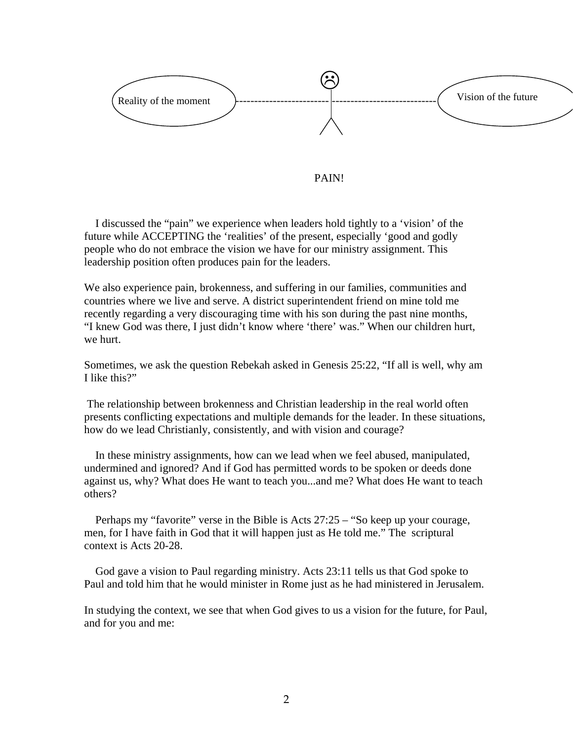



 I discussed the "pain" we experience when leaders hold tightly to a 'vision' of the future while ACCEPTING the 'realities' of the present, especially 'good and godly people who do not embrace the vision we have for our ministry assignment. This leadership position often produces pain for the leaders.

We also experience pain, brokenness, and suffering in our families, communities and countries where we live and serve. A district superintendent friend on mine told me recently regarding a very discouraging time with his son during the past nine months, "I knew God was there, I just didn't know where 'there' was." When our children hurt, we hurt.

Sometimes, we ask the question Rebekah asked in Genesis 25:22, "If all is well, why am I like this?"

 The relationship between brokenness and Christian leadership in the real world often presents conflicting expectations and multiple demands for the leader. In these situations, how do we lead Christianly, consistently, and with vision and courage?

 In these ministry assignments, how can we lead when we feel abused, manipulated, undermined and ignored? And if God has permitted words to be spoken or deeds done against us, why? What does He want to teach you...and me? What does He want to teach others?

 Perhaps my "favorite" verse in the Bible is Acts 27:25 – "So keep up your courage, men, for I have faith in God that it will happen just as He told me." The scriptural context is Acts 20-28.

 God gave a vision to Paul regarding ministry. Acts 23:11 tells us that God spoke to Paul and told him that he would minister in Rome just as he had ministered in Jerusalem.

In studying the context, we see that when God gives to us a vision for the future, for Paul, and for you and me: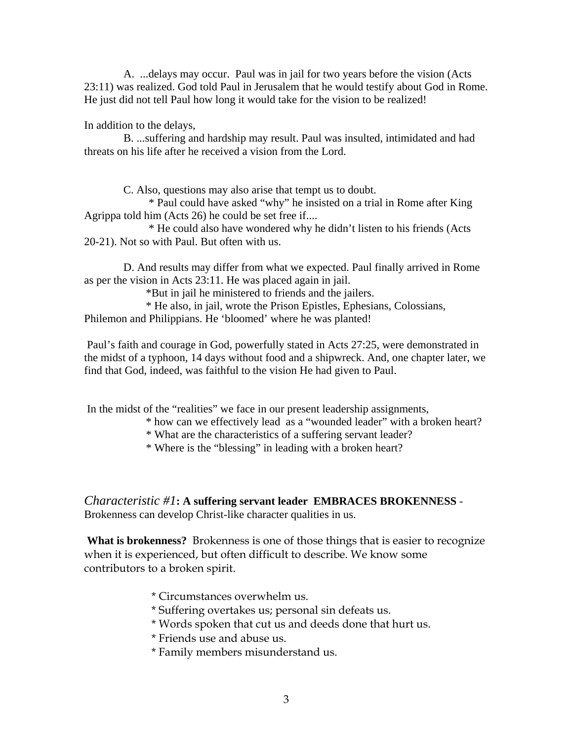A. ...delays may occur. Paul was in jail for two years before the vision (Acts 23:11) was realized. God told Paul in Jerusalem that he would testify about God in Rome. He just did not tell Paul how long it would take for the vision to be realized!

In addition to the delays,

 B. ...suffering and hardship may result. Paul was insulted, intimidated and had threats on his life after he received a vision from the Lord.

C. Also, questions may also arise that tempt us to doubt.

 \* Paul could have asked "why" he insisted on a trial in Rome after King Agrippa told him (Acts 26) he could be set free if....

 \* He could also have wondered why he didn't listen to his friends (Acts 20-21). Not so with Paul. But often with us.

 D. And results may differ from what we expected. Paul finally arrived in Rome as per the vision in Acts 23:11. He was placed again in jail.

\*But in jail he ministered to friends and the jailers.

 \* He also, in jail, wrote the Prison Epistles, Ephesians, Colossians, Philemon and Philippians. He 'bloomed' where he was planted!

 Paul's faith and courage in God, powerfully stated in Acts 27:25, were demonstrated in the midst of a typhoon, 14 days without food and a shipwreck. And, one chapter later, we find that God, indeed, was faithful to the vision He had given to Paul.

In the midst of the "realities" we face in our present leadership assignments,

- \* how can we effectively lead as a "wounded leader" with a broken heart?
- \* What are the characteristics of a suffering servant leader?
- \* Where is the "blessing" in leading with a broken heart?

*Characteristic #1***: A suffering servant leader EMBRACES BROKENNESS** - Brokenness can develop Christ-like character qualities in us.

 **What is brokenness?** Brokenness is one of those things that is easier to recognize when it is experienced, but often difficult to describe. We know some contributors to a broken spirit.

- \* Circumstances overwhelm us.
- \* Suffering overtakes us; personal sin defeats us.
- \* Words spoken that cut us and deeds done that hurt us.
- \* Friends use and abuse us.
- \* Family members misunderstand us.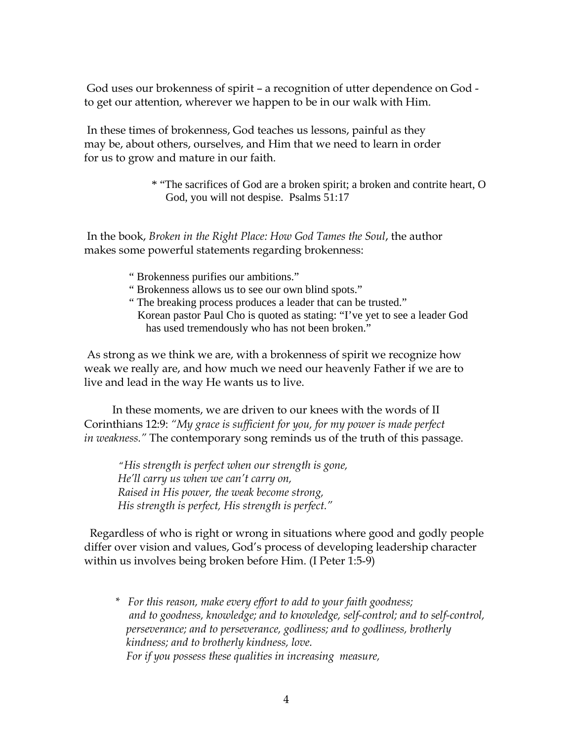God uses our brokenness of spirit – a recognition of utter dependence on God to get our attention, wherever we happen to be in our walk with Him.

 In these times of brokenness, God teaches us lessons, painful as they may be, about others, ourselves, and Him that we need to learn in order for us to grow and mature in our faith.

 In the book, *Broken in the Right Place: How God Tames the Soul*, the author makes some powerful statements regarding brokenness:

- " Brokenness purifies our ambitions."
- " Brokenness allows us to see our own blind spots."
- " The breaking process produces a leader that can be trusted." Korean pastor Paul Cho is quoted as stating: "I've yet to see a leader God has used tremendously who has not been broken."

 As strong as we think we are, with a brokenness of spirit we recognize how weak we really are, and how much we need our heavenly Father if we are to live and lead in the way He wants us to live.

 In these moments, we are driven to our knees with the words of II Corinthians 12:9: *"My grace is sufficient for you, for my power is made perfect in weakness."* The contemporary song reminds us of the truth of this passage.

 "*His strength is perfect when our strength is gone, He'll carry us when we can't carry on, Raised in His power, the weak become strong, His strength is perfect, His strength is perfect."* 

 Regardless of who is right or wrong in situations where good and godly people differ over vision and values, God's process of developing leadership character within us involves being broken before Him. (I Peter 1:5-9)

*\* For this reason, make every effort to add to your faith goodness; and to goodness, knowledge; and to knowledge, self-control; and to self-control, perseverance; and to perseverance, godliness; and to godliness, brotherly kindness; and to brotherly kindness, love. For if you possess these qualities in increasing measure,* 

 <sup>\* &</sup>quot;The sacrifices of God are a broken spirit; a broken and contrite heart, O God, you will not despise. Psalms 51:17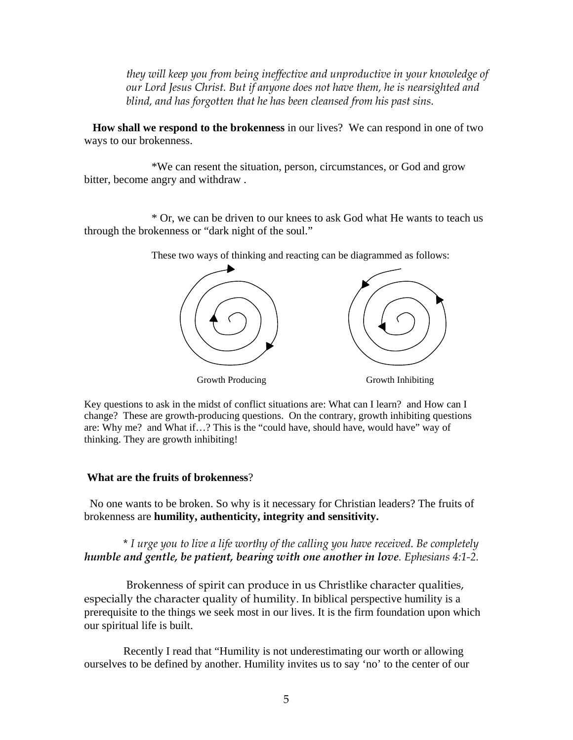*they will keep you from being ineffective and unproductive in your knowledge of our Lord Jesus Christ. But if anyone does not have them, he is nearsighted and blind, and has forgotten that he has been cleansed from his past sins.* 

 **How shall we respond to the brokenness** in our lives?We can respond in one of two ways to our brokenness.

 \*We can resent the situation, person, circumstances, or God and grow bitter, become angry and withdraw .

 \* Or, we can be driven to our knees to ask God what He wants to teach us through the brokenness or "dark night of the soul."





Key questions to ask in the midst of conflict situations are: What can I learn? and How can I change? These are growth-producing questions. On the contrary, growth inhibiting questions are: Why me? and What if…? This is the "could have, should have, would have" way of thinking. They are growth inhibiting!

## **What are the fruits of brokenness**?

 No one wants to be broken. So why is it necessary for Christian leaders? The fruits of brokenness are **humility, authenticity, integrity and sensitivity.**

 \* *I urge you to live a life worthy of the calling you have received. Be completely humble and gentle, be patient, bearing with one another in love. Ephesians 4:1-2.* 

 Brokenness of spirit can produce in us Christlike character qualities, especially the character quality of humility. In biblical perspective humility is a prerequisite to the things we seek most in our lives. It is the firm foundation upon which our spiritual life is built.

 Recently I read that "Humility is not underestimating our worth or allowing ourselves to be defined by another. Humility invites us to say 'no' to the center of our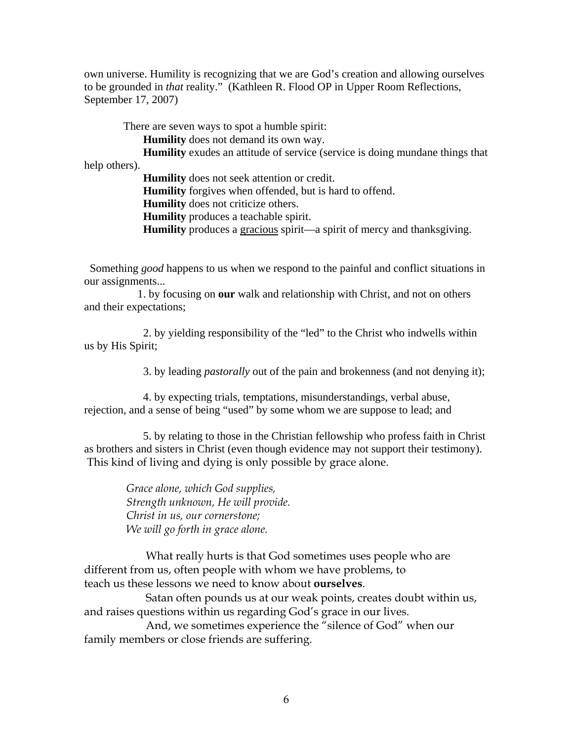own universe. Humility is recognizing that we are God's creation and allowing ourselves to be grounded in *that* reality." (Kathleen R. Flood OP in Upper Room Reflections, September 17, 2007)

 There are seven ways to spot a humble spirit: **Humility** does not demand its own way. **Humility** exudes an attitude of service (service is doing mundane things that

help others).

 **Humility** does not seek attention or credit. **Humility** forgives when offended, but is hard to offend.  **Humility** does not criticize others. **Humility** produces a teachable spirit. **Humility** produces a gracious spirit—a spirit of mercy and thanksgiving.

 Something *good* happens to us when we respond to the painful and conflict situations in our assignments...

 1. by focusing on **our** walk and relationship with Christ, and not on others and their expectations;

 2. by yielding responsibility of the "led" to the Christ who indwells within us by His Spirit;

3. by leading *pastorally* out of the pain and brokenness (and not denying it);

 4. by expecting trials, temptations, misunderstandings, verbal abuse, rejection, and a sense of being "used" by some whom we are suppose to lead; and

 5. by relating to those in the Christian fellowship who profess faith in Christ as brothers and sisters in Christ (even though evidence may not support their testimony). This kind of living and dying is only possible by grace alone.

> *Grace alone, which God supplies, Strength unknown, He will provide. Christ in us, our cornerstone; We will go forth in grace alone.*

 What really hurts is that God sometimes uses people who are different from us, often people with whom we have problems, to teach us these lessons we need to know about **ourselves**.

 Satan often pounds us at our weak points, creates doubt within us, and raises questions within us regarding God's grace in our lives.

 And, we sometimes experience the "silence of God" when our family members or close friends are suffering.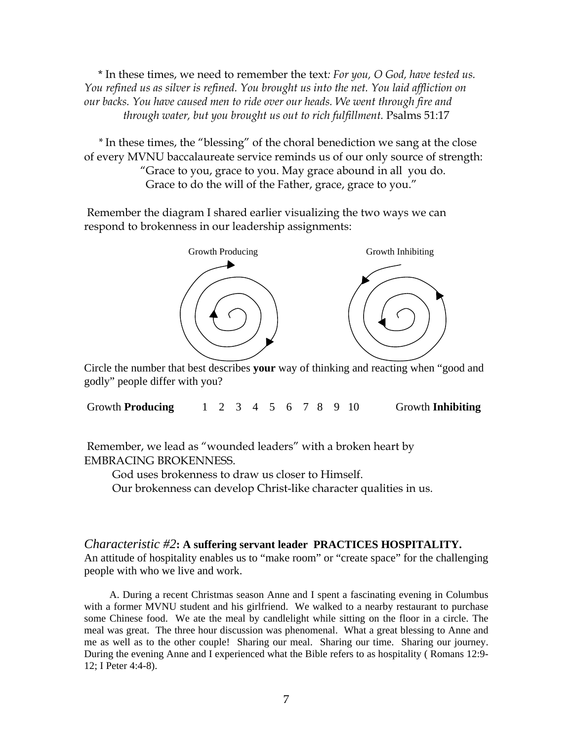\* In these times, we need to remember the text*: For you, O God, have tested us. You refined us as silver is refined. You brought us into the net. You laid affliction on our backs. You have caused men to ride over our heads. We went through fire and through water, but you brought us out to rich fulfillment.* Psalms 51:17

 *\** In these times, the "blessing" of the choral benediction we sang at the close of every MVNU baccalaureate service reminds us of our only source of strength: "Grace to you, grace to you. May grace abound in all you do. Grace to do the will of the Father, grace, grace to you."

 Remember the diagram I shared earlier visualizing the two ways we can respond to brokenness in our leadership assignments:



Circle the number that best describes **your** way of thinking and reacting when "good and godly" people differ with you?

| <b>Growth Producing</b> |  |  |  |  |  |  |  |  |  | 1 2 3 4 5 6 7 8 9 10 | <b>Growth Inhibiting</b> |
|-------------------------|--|--|--|--|--|--|--|--|--|----------------------|--------------------------|
|-------------------------|--|--|--|--|--|--|--|--|--|----------------------|--------------------------|

 Remember, we lead as "wounded leaders" with a broken heart by EMBRACING BROKENNESS.

God uses brokenness to draw us closer to Himself.

Our brokenness can develop Christ-like character qualities in us.

*Characteristic #2***: A suffering servant leader PRACTICES HOSPITALITY.** 

An attitude of hospitality enables us to "make room" or "create space" for the challenging people with who we live and work.

A. During a recent Christmas season Anne and I spent a fascinating evening in Columbus with a former MVNU student and his girlfriend. We walked to a nearby restaurant to purchase some Chinese food. We ate the meal by candlelight while sitting on the floor in a circle. The meal was great. The three hour discussion was phenomenal. What a great blessing to Anne and me as well as to the other couple! Sharing our meal. Sharing our time. Sharing our journey. During the evening Anne and I experienced what the Bible refers to as hospitality ( Romans 12:9- 12; I Peter 4:4-8).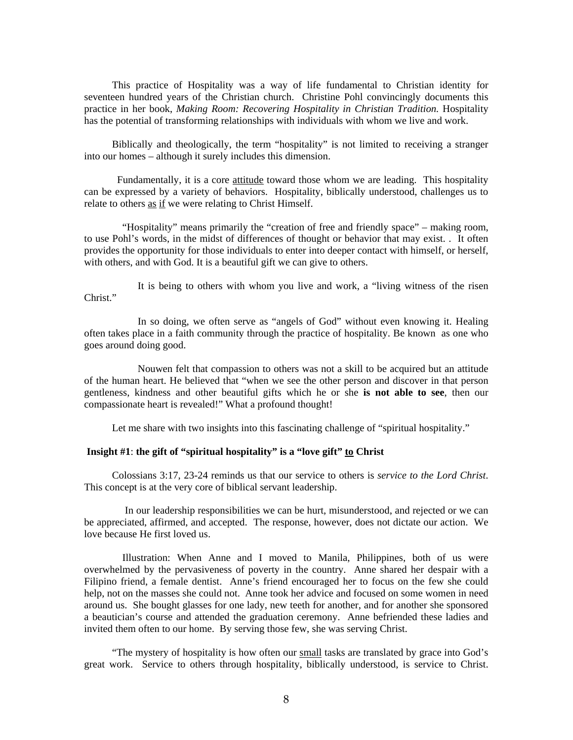This practice of Hospitality was a way of life fundamental to Christian identity for seventeen hundred years of the Christian church. Christine Pohl convincingly documents this practice in her book, *Making Room: Recovering Hospitality in Christian Tradition*. Hospitality has the potential of transforming relationships with individuals with whom we live and work.

 Biblically and theologically, the term "hospitality" is not limited to receiving a stranger into our homes – although it surely includes this dimension.

 Fundamentally, it is a core attitude toward those whom we are leading. This hospitality can be expressed by a variety of behaviors. Hospitality, biblically understood, challenges us to relate to others as if we were relating to Christ Himself.

 "Hospitality" means primarily the "creation of free and friendly space" – making room, to use Pohl's words, in the midst of differences of thought or behavior that may exist. . It often provides the opportunity for those individuals to enter into deeper contact with himself, or herself, with others, and with God. It is a beautiful gift we can give to others.

 It is being to others with whom you live and work, a "living witness of the risen Christ."

 In so doing, we often serve as "angels of God" without even knowing it. Healing often takes place in a faith community through the practice of hospitality. Be known as one who goes around doing good.

 Nouwen felt that compassion to others was not a skill to be acquired but an attitude of the human heart. He believed that "when we see the other person and discover in that person gentleness, kindness and other beautiful gifts which he or she **is not able to see**, then our compassionate heart is revealed!" What a profound thought!

Let me share with two insights into this fascinating challenge of "spiritual hospitality."

#### **Insight #1**: **the gift of "spiritual hospitality" is a "love gift" to Christ**

 Colossians 3:17, 23-24 reminds us that our service to others is *service to the Lord Christ*. This concept is at the very core of biblical servant leadership.

 In our leadership responsibilities we can be hurt, misunderstood, and rejected or we can be appreciated, affirmed, and accepted. The response, however, does not dictate our action. We love because He first loved us.

 Illustration: When Anne and I moved to Manila, Philippines, both of us were overwhelmed by the pervasiveness of poverty in the country. Anne shared her despair with a Filipino friend, a female dentist. Anne's friend encouraged her to focus on the few she could help, not on the masses she could not. Anne took her advice and focused on some women in need around us. She bought glasses for one lady, new teeth for another, and for another she sponsored a beautician's course and attended the graduation ceremony. Anne befriended these ladies and invited them often to our home. By serving those few, she was serving Christ.

 "The mystery of hospitality is how often our small tasks are translated by grace into God's great work. Service to others through hospitality, biblically understood, is service to Christ.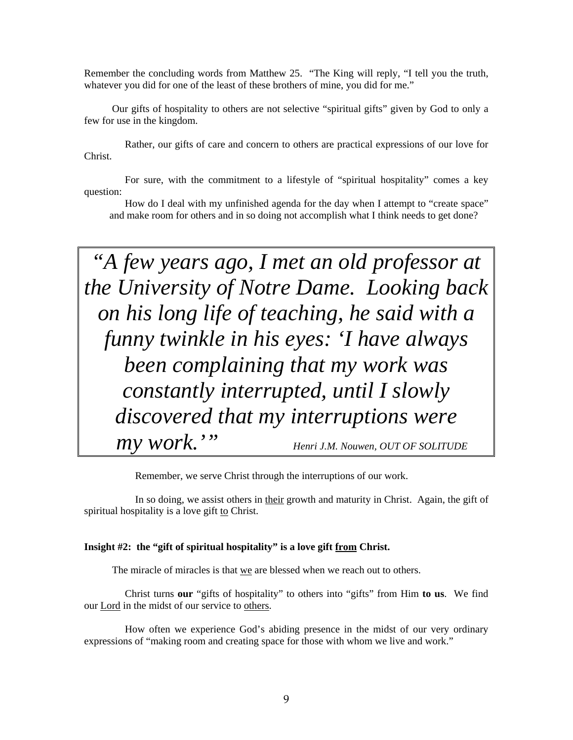Remember the concluding words from Matthew 25. "The King will reply, "I tell you the truth, whatever you did for one of the least of these brothers of mine, you did for me."

 Our gifts of hospitality to others are not selective "spiritual gifts" given by God to only a few for use in the kingdom.

 Rather, our gifts of care and concern to others are practical expressions of our love for Christ.

 For sure, with the commitment to a lifestyle of "spiritual hospitality" comes a key question:

 How do I deal with my unfinished agenda for the day when I attempt to "create space" and make room for others and in so doing not accomplish what I think needs to get done?

*"A few years ago, I met an old professor at the University of Notre Dame. Looking back on his long life of teaching, he said with a funny twinkle in his eyes: 'I have always been complaining that my work was constantly interrupted, until I slowly discovered that my interruptions were my work.* "" Henri J.M. Nouwen, OUT OF SOLITUDE

Remember, we serve Christ through the interruptions of our work.

 In so doing, we assist others in their growth and maturity in Christ. Again, the gift of spiritual hospitality is a love gift to Christ.

#### **Insight #2: the "gift of spiritual hospitality" is a love gift from Christ.**

The miracle of miracles is that we are blessed when we reach out to others.

 Christ turns **our** "gifts of hospitality" to others into "gifts" from Him **to us**. We find our Lord in the midst of our service to others.

 How often we experience God's abiding presence in the midst of our very ordinary expressions of "making room and creating space for those with whom we live and work."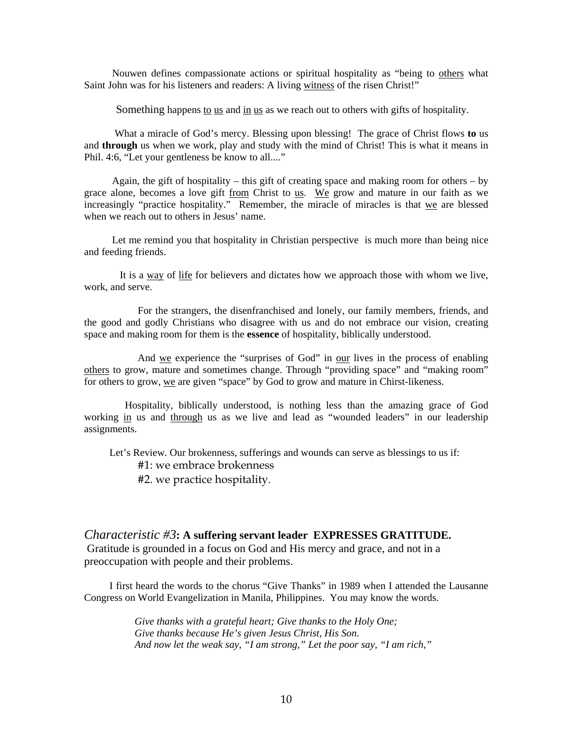Nouwen defines compassionate actions or spiritual hospitality as "being to others what Saint John was for his listeners and readers: A living witness of the risen Christ!"

Something happens to us and in us as we reach out to others with gifts of hospitality.

 What a miracle of God's mercy. Blessing upon blessing! The grace of Christ flows **to** us and **through** us when we work, play and study with the mind of Christ! This is what it means in Phil. 4:6, "Let your gentleness be know to all...."

Again, the gift of hospitality – this gift of creating space and making room for others – by grace alone, becomes a love gift from Christ to us. We grow and mature in our faith as we increasingly "practice hospitality." Remember, the miracle of miracles is that we are blessed when we reach out to others in Jesus' name.

 Let me remind you that hospitality in Christian perspective is much more than being nice and feeding friends.

 It is a way of life for believers and dictates how we approach those with whom we live, work, and serve.

 For the strangers, the disenfranchised and lonely, our family members, friends, and the good and godly Christians who disagree with us and do not embrace our vision, creating space and making room for them is the **essence** of hospitality, biblically understood.

And we experience the "surprises of God" in <u>our</u> lives in the process of enabling others to grow, mature and sometimes change. Through "providing space" and "making room" for others to grow, we are given "space" by God to grow and mature in Chirst-likeness.

 Hospitality, biblically understood, is nothing less than the amazing grace of God working in us and through us as we live and lead as "wounded leaders" in our leadership assignments.

Let's Review. Our brokenness, sufferings and wounds can serve as blessings to us if:

#1: we embrace brokenness

#2. we practice hospitality.

*Characteristic #3***: A suffering servant leader EXPRESSES GRATITUDE.** Gratitude is grounded in a focus on God and His mercy and grace, and not in a preoccupation with people and their problems.

I first heard the words to the chorus "Give Thanks" in 1989 when I attended the Lausanne Congress on World Evangelization in Manila, Philippines. You may know the words.

> *Give thanks with a grateful heart; Give thanks to the Holy One; Give thanks because He's given Jesus Christ, His Son. And now let the weak say, "I am strong," Let the poor say, "I am rich,"*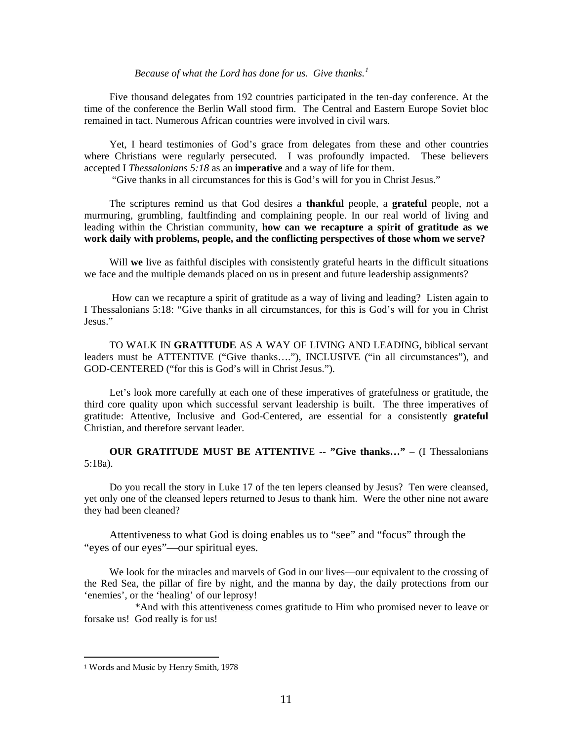## *Because of what the Lord has done for us. Give thanks.[1](#page-10-0)*

Five thousand delegates from 192 countries participated in the ten-day conference. At the time of the conference the Berlin Wall stood firm. The Central and Eastern Europe Soviet bloc remained in tact. Numerous African countries were involved in civil wars.

Yet, I heard testimonies of God's grace from delegates from these and other countries where Christians were regularly persecuted. I was profoundly impacted. These believers accepted I *Thessalonians 5:18* as an **imperative** and a way of life for them.

"Give thanks in all circumstances for this is God's will for you in Christ Jesus."

The scriptures remind us that God desires a **thankful** people, a **grateful** people, not a murmuring, grumbling, faultfinding and complaining people. In our real world of living and leading within the Christian community, **how can we recapture a spirit of gratitude as we work daily with problems, people, and the conflicting perspectives of those whom we serve?**

Will we live as faithful disciples with consistently grateful hearts in the difficult situations we face and the multiple demands placed on us in present and future leadership assignments?

 How can we recapture a spirit of gratitude as a way of living and leading? Listen again to I Thessalonians 5:18: "Give thanks in all circumstances, for this is God's will for you in Christ Jesus."

TO WALK IN **GRATITUDE** AS A WAY OF LIVING AND LEADING, biblical servant leaders must be ATTENTIVE ("Give thanks…."), INCLUSIVE ("in all circumstances"), and GOD-CENTERED ("for this is God's will in Christ Jesus.").

Let's look more carefully at each one of these imperatives of gratefulness or gratitude, the third core quality upon which successful servant leadership is built. The three imperatives of gratitude: Attentive, Inclusive and God-Centered, are essential for a consistently **grateful**  Christian, and therefore servant leader.

**OUR GRATITUDE MUST BE ATTENTIVE -- "Give thanks..." – (I Thessalonians)** 5:18a).

Do you recall the story in Luke 17 of the ten lepers cleansed by Jesus? Ten were cleansed, yet only one of the cleansed lepers returned to Jesus to thank him. Were the other nine not aware they had been cleaned?

 Attentiveness to what God is doing enables us to "see" and "focus" through the "eyes of our eyes"—our spiritual eyes.

We look for the miracles and marvels of God in our lives—our equivalent to the crossing of the Red Sea, the pillar of fire by night, and the manna by day, the daily protections from our 'enemies', or the 'healing' of our leprosy!

 \*And with this attentiveness comes gratitude to Him who promised never to leave or forsake us! God really is for us!

 $\overline{a}$ 

<span id="page-10-0"></span><sup>1</sup> Words and Music by Henry Smith, 1978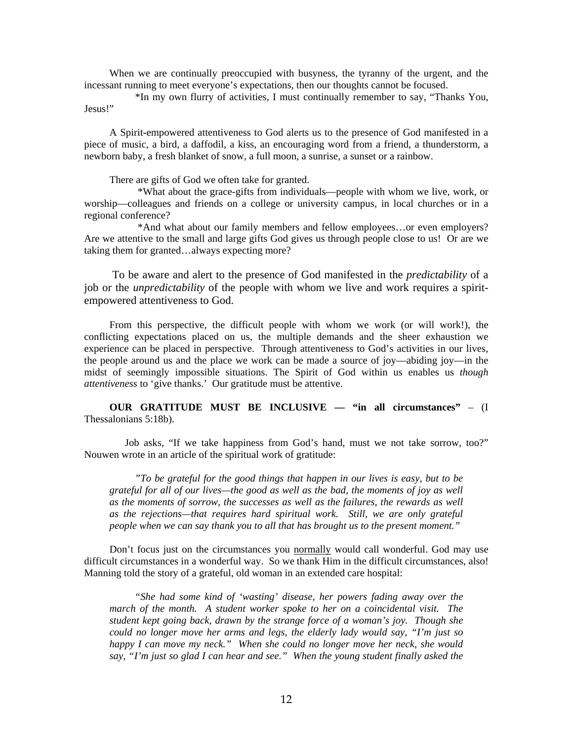When we are continually preoccupied with busyness, the tyranny of the urgent, and the incessant running to meet everyone's expectations, then our thoughts cannot be focused.

 \*In my own flurry of activities, I must continually remember to say, "Thanks You, Jesus!"

A Spirit-empowered attentiveness to God alerts us to the presence of God manifested in a piece of music, a bird, a daffodil, a kiss, an encouraging word from a friend, a thunderstorm, a newborn baby, a fresh blanket of snow, a full moon, a sunrise, a sunset or a rainbow.

There are gifts of God we often take for granted.

 \*What about the grace-gifts from individuals—people with whom we live, work, or worship—colleagues and friends on a college or university campus, in local churches or in a regional conference?

 \*And what about our family members and fellow employees…or even employers? Are we attentive to the small and large gifts God gives us through people close to us! Or are we taking them for granted…always expecting more?

 To be aware and alert to the presence of God manifested in the *predictability* of a job or the *unpredictability* of the people with whom we live and work requires a spiritempowered attentiveness to God.

From this perspective, the difficult people with whom we work (or will work!), the conflicting expectations placed on us, the multiple demands and the sheer exhaustion we experience can be placed in perspective. Through attentiveness to God's activities in our lives, the people around us and the place we work can be made a source of joy—abiding joy—in the midst of seemingly impossible situations. The Spirit of God within us enables us *though attentiveness* to 'give thanks.' Our gratitude must be attentive.

**OUR GRATITUDE MUST BE INCLUSIVE — "in all circumstances"** – (I Thessalonians 5:18b).

 Job asks, "If we take happiness from God's hand, must we not take sorrow, too?" Nouwen wrote in an article of the spiritual work of gratitude:

*"To be grateful for the good things that happen in our lives is easy, but to be grateful for all of our lives—the good as well as the bad, the moments of joy as well as the moments of sorrow, the successes as well as the failures, the rewards as well as the rejections—that requires hard spiritual work. Still, we are only grateful people when we can say thank you to all that has brought us to the present moment."* 

Don't focus just on the circumstances you normally would call wonderful. God may use difficult circumstances in a wonderful way. So we thank Him in the difficult circumstances, also! Manning told the story of a grateful, old woman in an extended care hospital:

*"She had some kind of 'wasting' disease, her powers fading away over the march of the month. A student worker spoke to her on a coincidental visit. The student kept going back, drawn by the strange force of a woman's joy. Though she could no longer move her arms and legs, the elderly lady would say, "I'm just so happy I can move my neck." When she could no longer move her neck, she would say, "I'm just so glad I can hear and see." When the young student finally asked the*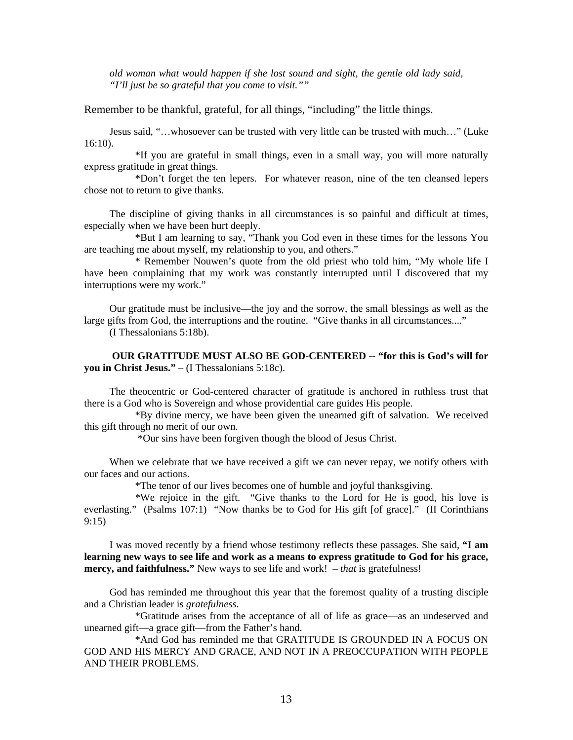*old woman what would happen if she lost sound and sight, the gentle old lady said, "I'll just be so grateful that you come to visit.""* 

Remember to be thankful, grateful, for all things, "including" the little things.

Jesus said, "…whosoever can be trusted with very little can be trusted with much…" (Luke 16:10).

 \*If you are grateful in small things, even in a small way, you will more naturally express gratitude in great things.

 \*Don't forget the ten lepers. For whatever reason, nine of the ten cleansed lepers chose not to return to give thanks.

The discipline of giving thanks in all circumstances is so painful and difficult at times, especially when we have been hurt deeply.

 \*But I am learning to say, "Thank you God even in these times for the lessons You are teaching me about myself, my relationship to you, and others."

 \* Remember Nouwen's quote from the old priest who told him, "My whole life I have been complaining that my work was constantly interrupted until I discovered that my interruptions were my work."

Our gratitude must be inclusive—the joy and the sorrow, the small blessings as well as the large gifts from God, the interruptions and the routine. "Give thanks in all circumstances...."

(I Thessalonians 5:18b).

 **OUR GRATITUDE MUST ALSO BE GOD-CENTERED -- "for this is God's will for you in Christ Jesus."** – (I Thessalonians 5:18c).

The theocentric or God-centered character of gratitude is anchored in ruthless trust that there is a God who is Sovereign and whose providential care guides His people.

 \*By divine mercy, we have been given the unearned gift of salvation. We received this gift through no merit of our own.

\*Our sins have been forgiven though the blood of Jesus Christ.

When we celebrate that we have received a gift we can never repay, we notify others with our faces and our actions.

\*The tenor of our lives becomes one of humble and joyful thanksgiving.

 \*We rejoice in the gift. "Give thanks to the Lord for He is good, his love is everlasting." (Psalms 107:1) "Now thanks be to God for His gift [of grace]." (II Corinthians 9:15)

I was moved recently by a friend whose testimony reflects these passages. She said, **"I am learning new ways to see life and work as a means to express gratitude to God for his grace, mercy, and faithfulness."** New ways to see life and work! – *that* is gratefulness!

God has reminded me throughout this year that the foremost quality of a trusting disciple and a Christian leader is *gratefulness*.

 \*Gratitude arises from the acceptance of all of life as grace—as an undeserved and unearned gift—a grace gift—from the Father's hand.

 \*And God has reminded me that GRATITUDE IS GROUNDED IN A FOCUS ON GOD AND HIS MERCY AND GRACE, AND NOT IN A PREOCCUPATION WITH PEOPLE AND THEIR PROBLEMS.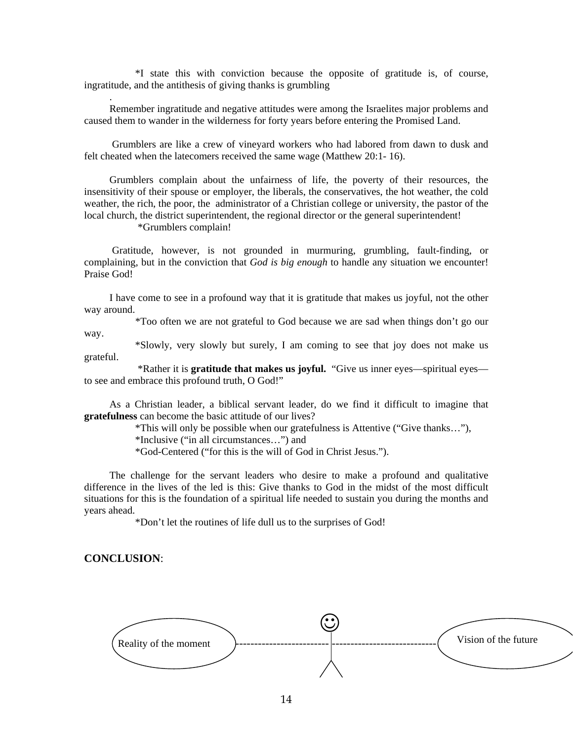\*I state this with conviction because the opposite of gratitude is, of course, ingratitude, and the antithesis of giving thanks is grumbling

Remember ingratitude and negative attitudes were among the Israelites major problems and caused them to wander in the wilderness for forty years before entering the Promised Land.

 Grumblers are like a crew of vineyard workers who had labored from dawn to dusk and felt cheated when the latecomers received the same wage (Matthew 20:1- 16).

Grumblers complain about the unfairness of life, the poverty of their resources, the insensitivity of their spouse or employer, the liberals, the conservatives, the hot weather, the cold weather, the rich, the poor, the administrator of a Christian college or university, the pastor of the local church, the district superintendent, the regional director or the general superintendent!

\*Grumblers complain!

.

 Gratitude, however, is not grounded in murmuring, grumbling, fault-finding, or complaining, but in the conviction that *God is big enough* to handle any situation we encounter! Praise God!

I have come to see in a profound way that it is gratitude that makes us joyful, not the other way around.

 \*Too often we are not grateful to God because we are sad when things don't go our way.

 \*Slowly, very slowly but surely, I am coming to see that joy does not make us grateful.

 \*Rather it is **gratitude that makes us joyful.** "Give us inner eyes—spiritual eyes to see and embrace this profound truth, O God!"

As a Christian leader, a biblical servant leader, do we find it difficult to imagine that **gratefulness** can become the basic attitude of our lives?

\*This will only be possible when our gratefulness is Attentive ("Give thanks…"),

\*Inclusive ("in all circumstances…") and

\*God-Centered ("for this is the will of God in Christ Jesus.").

The challenge for the servant leaders who desire to make a profound and qualitative difference in the lives of the led is this: Give thanks to God in the midst of the most difficult situations for this is the foundation of a spiritual life needed to sustain you during the months and years ahead.

\*Don't let the routines of life dull us to the surprises of God!

#### **CONCLUSION**:

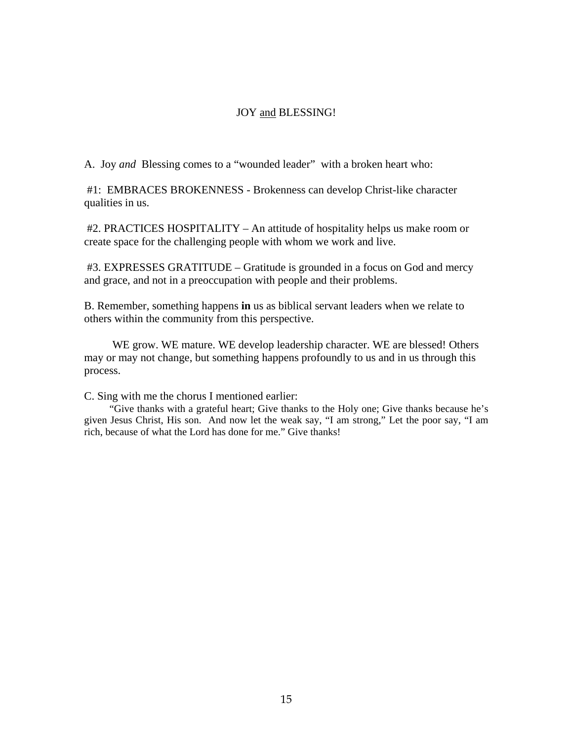## JOY and BLESSING!

A. Joy *and* Blessing comes to a "wounded leader" with a broken heart who:

 #1: EMBRACES BROKENNESS - Brokenness can develop Christ-like character qualities in us.

 #2. PRACTICES HOSPITALITY – An attitude of hospitality helps us make room or create space for the challenging people with whom we work and live.

 #3. EXPRESSES GRATITUDE – Gratitude is grounded in a focus on God and mercy and grace, and not in a preoccupation with people and their problems.

B. Remember, something happens **in** us as biblical servant leaders when we relate to others within the community from this perspective.

WE grow. WE mature. WE develop leadership character. WE are blessed! Others may or may not change, but something happens profoundly to us and in us through this process.

C. Sing with me the chorus I mentioned earlier:

"Give thanks with a grateful heart; Give thanks to the Holy one; Give thanks because he's given Jesus Christ, His son. And now let the weak say, "I am strong," Let the poor say, "I am rich, because of what the Lord has done for me." Give thanks!